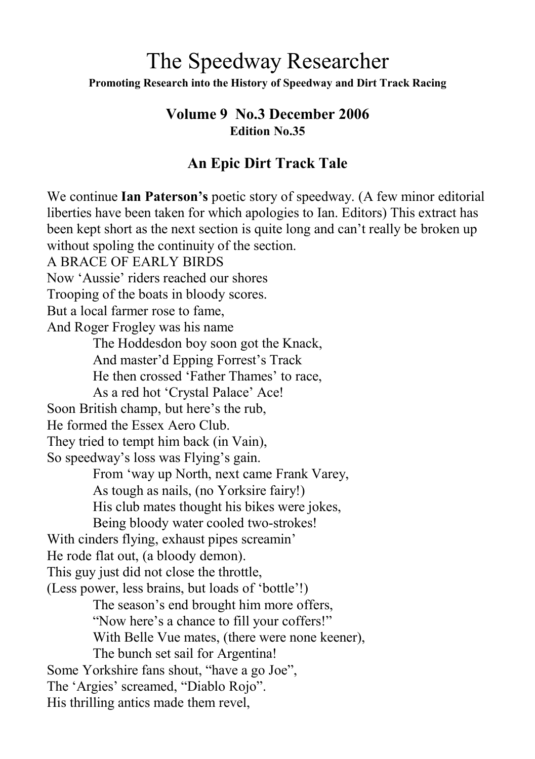# The Speedway Researcher **Promoting Research into the History of Speedway and Dirt Track Racing**

#### **Volume 9 No.3 December 2006 Edition No.35**

# **An Epic Dirt Track Tale**

We continue **Ian Paterson's** poetic story of speedway. (A few minor editorial liberties have been taken for which apologies to Ian. Editors) This extract has been kept short as the next section is quite long and can't really be broken up without spoling the continuity of the section. A BRACE OF EARLY BIRDS Now 'Aussie' riders reached our shores Trooping of the boats in bloody scores. But a local farmer rose to fame, And Roger Frogley was his name The Hoddesdon boy soon got the Knack, And master'd Epping Forrest's Track He then crossed 'Father Thames' to race, As a red hot 'Crystal Palace' Ace! Soon British champ, but here's the rub, He formed the Essex Aero Club. They tried to tempt him back (in Vain), So speedway's loss was Flying's gain. From 'way up North, next came Frank Varey, As tough as nails, (no Yorksire fairy!) His club mates thought his bikes were jokes, Being bloody water cooled two-strokes! With cinders flying, exhaust pipes screamin' He rode flat out, (a bloody demon). This guy just did not close the throttle, (Less power, less brains, but loads of 'bottle'!) The season's end brought him more offers, "Now here's a chance to fill your coffers!" With Belle Vue mates, (there were none keener), The bunch set sail for Argentina! Some Yorkshire fans shout, "have a go Joe", The 'Argies' screamed, "Diablo Rojo". His thrilling antics made them revel,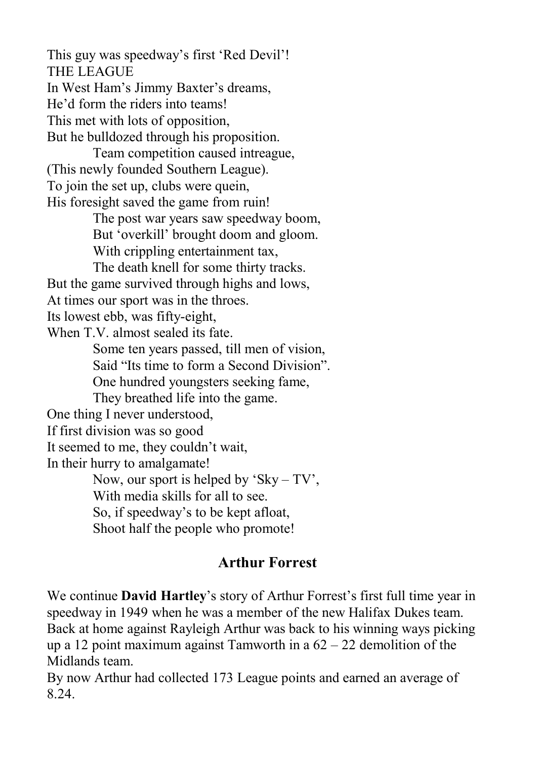This guy was speedway's first 'Red Devil'! THE LEAGUE In West Ham's Jimmy Baxter's dreams, He'd form the riders into teams! This met with lots of opposition, But he bulldozed through his proposition. Team competition caused intreague, (This newly founded Southern League). To join the set up, clubs were quein, His foresight saved the game from ruin! The post war years saw speedway boom, But 'overkill' brought doom and gloom. With crippling entertainment tax. The death knell for some thirty tracks. But the game survived through highs and lows, At times our sport was in the throes. Its lowest ebb, was fifty-eight, When T.V. almost sealed its fate. Some ten years passed, till men of vision, Said "Its time to form a Second Division". One hundred youngsters seeking fame, They breathed life into the game. One thing I never understood, If first division was so good It seemed to me, they couldn't wait, In their hurry to amalgamate! Now, our sport is helped by 'Sky – TV', With media skills for all to see. So, if speedway's to be kept afloat, Shoot half the people who promote!

#### **Arthur Forrest**

We continue **David Hartley**'s story of Arthur Forrest's first full time year in speedway in 1949 when he was a member of the new Halifax Dukes team. Back at home against Rayleigh Arthur was back to his winning ways picking up a 12 point maximum against Tamworth in a 62 – 22 demolition of the Midlands team.

By now Arthur had collected 173 League points and earned an average of 8.24.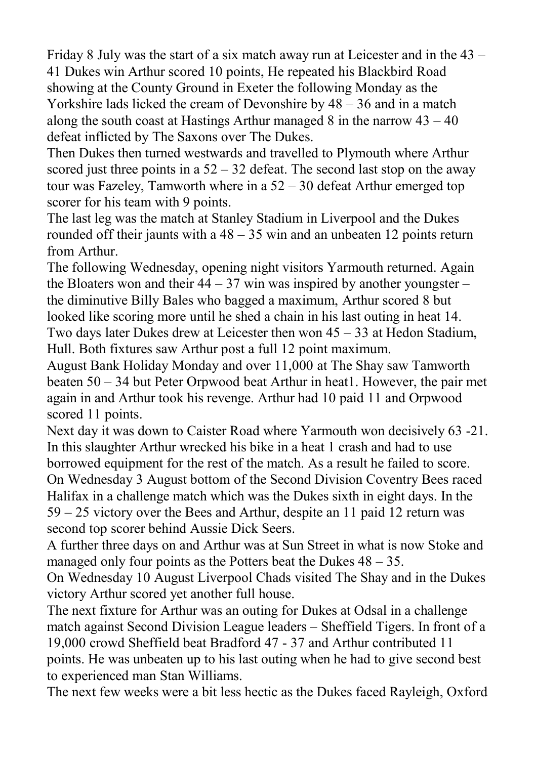Friday 8 July was the start of a six match away run at Leicester and in the 43 – 41 Dukes win Arthur scored 10 points, He repeated his Blackbird Road showing at the County Ground in Exeter the following Monday as the Yorkshire lads licked the cream of Devonshire by 48 – 36 and in a match along the south coast at Hastings Arthur managed  $8$  in the narrow  $43 - 40$ defeat inflicted by The Saxons over The Dukes.

Then Dukes then turned westwards and travelled to Plymouth where Arthur scored just three points in a  $52 - 32$  defeat. The second last stop on the away tour was Fazeley, Tamworth where in a 52 – 30 defeat Arthur emerged top scorer for his team with 9 points.

The last leg was the match at Stanley Stadium in Liverpool and the Dukes rounded off their jaunts with a  $48 - 35$  win and an unbeaten 12 points return from Arthur.

The following Wednesday, opening night visitors Yarmouth returned. Again the Bloaters won and their  $44 - 37$  win was inspired by another youngster – the diminutive Billy Bales who bagged a maximum, Arthur scored 8 but looked like scoring more until he shed a chain in his last outing in heat 14. Two days later Dukes drew at Leicester then won 45 – 33 at Hedon Stadium, Hull. Both fixtures saw Arthur post a full 12 point maximum.

August Bank Holiday Monday and over 11,000 at The Shay saw Tamworth beaten 50 – 34 but Peter Orpwood beat Arthur in heat1. However, the pair met again in and Arthur took his revenge. Arthur had 10 paid 11 and Orpwood scored 11 points.

Next day it was down to Caister Road where Yarmouth won decisively 63 -21. In this slaughter Arthur wrecked his bike in a heat 1 crash and had to use borrowed equipment for the rest of the match. As a result he failed to score. On Wednesday 3 August bottom of the Second Division Coventry Bees raced Halifax in a challenge match which was the Dukes sixth in eight days. In the 59 – 25 victory over the Bees and Arthur, despite an 11 paid 12 return was second top scorer behind Aussie Dick Seers.

A further three days on and Arthur was at Sun Street in what is now Stoke and managed only four points as the Potters beat the Dukes  $48 - 35$ .

On Wednesday 10 August Liverpool Chads visited The Shay and in the Dukes victory Arthur scored yet another full house.

The next fixture for Arthur was an outing for Dukes at Odsal in a challenge match against Second Division League leaders – Sheffield Tigers. In front of a 19,000 crowd Sheffield beat Bradford 47 - 37 and Arthur contributed 11 points. He was unbeaten up to his last outing when he had to give second best to experienced man Stan Williams.

The next few weeks were a bit less hectic as the Dukes faced Rayleigh, Oxford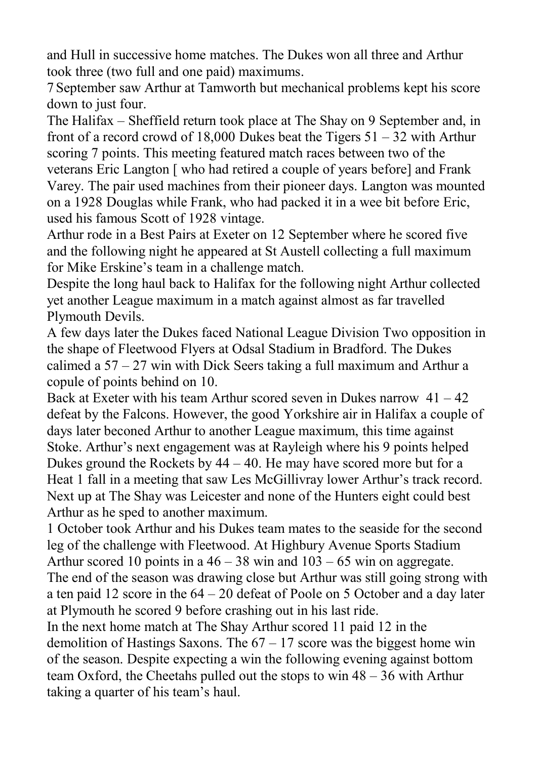and Hull in successive home matches. The Dukes won all three and Arthur took three (two full and one paid) maximums.

7 September saw Arthur at Tamworth but mechanical problems kept his score down to just four.

The Halifax – Sheffield return took place at The Shay on 9 September and, in front of a record crowd of 18,000 Dukes beat the Tigers  $51 - 32$  with Arthur scoring 7 points. This meeting featured match races between two of the veterans Eric Langton [ who had retired a couple of years before] and Frank Varey. The pair used machines from their pioneer days. Langton was mounted on a 1928 Douglas while Frank, who had packed it in a wee bit before Eric, used his famous Scott of 1928 vintage.

Arthur rode in a Best Pairs at Exeter on 12 September where he scored five and the following night he appeared at St Austell collecting a full maximum for Mike Erskine's team in a challenge match.

Despite the long haul back to Halifax for the following night Arthur collected yet another League maximum in a match against almost as far travelled Plymouth Devils.

A few days later the Dukes faced National League Division Two opposition in the shape of Fleetwood Flyers at Odsal Stadium in Bradford. The Dukes calimed a  $57 - 27$  win with Dick Seers taking a full maximum and Arthur a copule of points behind on 10.

Back at Exeter with his team Arthur scored seven in Dukes narrow  $41 - 42$ defeat by the Falcons. However, the good Yorkshire air in Halifax a couple of days later beconed Arthur to another League maximum, this time against Stoke. Arthur's next engagement was at Rayleigh where his 9 points helped Dukes ground the Rockets by  $44 - 40$ . He may have scored more but for a Heat 1 fall in a meeting that saw Les McGillivray lower Arthur's track record. Next up at The Shay was Leicester and none of the Hunters eight could best Arthur as he sped to another maximum.

1 October took Arthur and his Dukes team mates to the seaside for the second leg of the challenge with Fleetwood. At Highbury Avenue Sports Stadium Arthur scored 10 points in a  $46 - 38$  win and  $103 - 65$  win on aggregate. The end of the season was drawing close but Arthur was still going strong with a ten paid 12 score in the 64 – 20 defeat of Poole on 5 October and a day later at Plymouth he scored 9 before crashing out in his last ride.

In the next home match at The Shay Arthur scored 11 paid 12 in the demolition of Hastings Saxons. The  $67 - 17$  score was the biggest home win of the season. Despite expecting a win the following evening against bottom team Oxford, the Cheetahs pulled out the stops to win 48 – 36 with Arthur taking a quarter of his team's haul.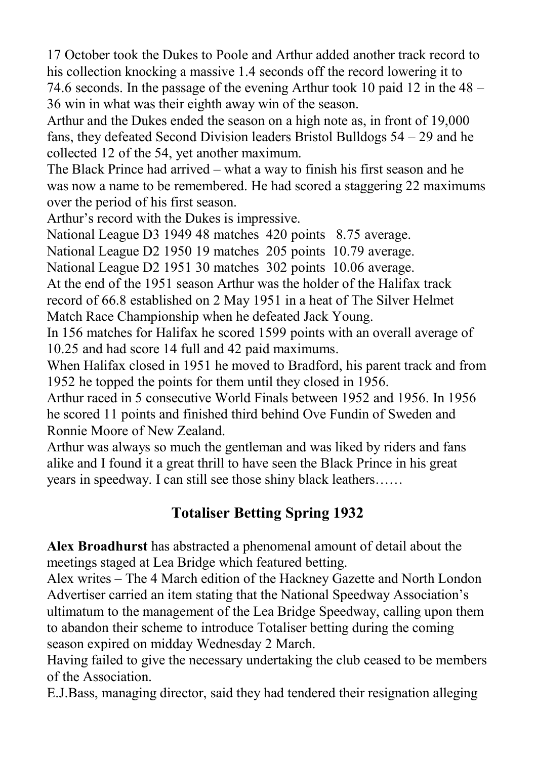17 October took the Dukes to Poole and Arthur added another track record to his collection knocking a massive 1.4 seconds off the record lowering it to 74.6 seconds. In the passage of the evening Arthur took 10 paid 12 in the 48 – 36 win in what was their eighth away win of the season.

Arthur and the Dukes ended the season on a high note as, in front of 19,000 fans, they defeated Second Division leaders Bristol Bulldogs 54 – 29 and he collected 12 of the 54, yet another maximum.

The Black Prince had arrived – what a way to finish his first season and he was now a name to be remembered. He had scored a staggering 22 maximums over the period of his first season.

Arthur's record with the Dukes is impressive.

National League D3 1949 48 matches 420 points 8.75 average.

National League D2 1950 19 matches 205 points 10.79 average.

National League D2 1951 30 matches 302 points 10.06 average.

At the end of the 1951 season Arthur was the holder of the Halifax track record of 66.8 established on 2 May 1951 in a heat of The Silver Helmet Match Race Championship when he defeated Jack Young.

In 156 matches for Halifax he scored 1599 points with an overall average of 10.25 and had score 14 full and 42 paid maximums.

When Halifax closed in 1951 he moved to Bradford, his parent track and from 1952 he topped the points for them until they closed in 1956.

Arthur raced in 5 consecutive World Finals between 1952 and 1956. In 1956 he scored 11 points and finished third behind Ove Fundin of Sweden and Ronnie Moore of New Zealand.

Arthur was always so much the gentleman and was liked by riders and fans alike and I found it a great thrill to have seen the Black Prince in his great years in speedway. I can still see those shiny black leathers……

## **Totaliser Betting Spring 1932**

**Alex Broadhurst** has abstracted a phenomenal amount of detail about the meetings staged at Lea Bridge which featured betting.

Alex writes – The 4 March edition of the Hackney Gazette and North London Advertiser carried an item stating that the National Speedway Association's ultimatum to the management of the Lea Bridge Speedway, calling upon them to abandon their scheme to introduce Totaliser betting during the coming season expired on midday Wednesday 2 March.

Having failed to give the necessary undertaking the club ceased to be members of the Association.

E.J.Bass, managing director, said they had tendered their resignation alleging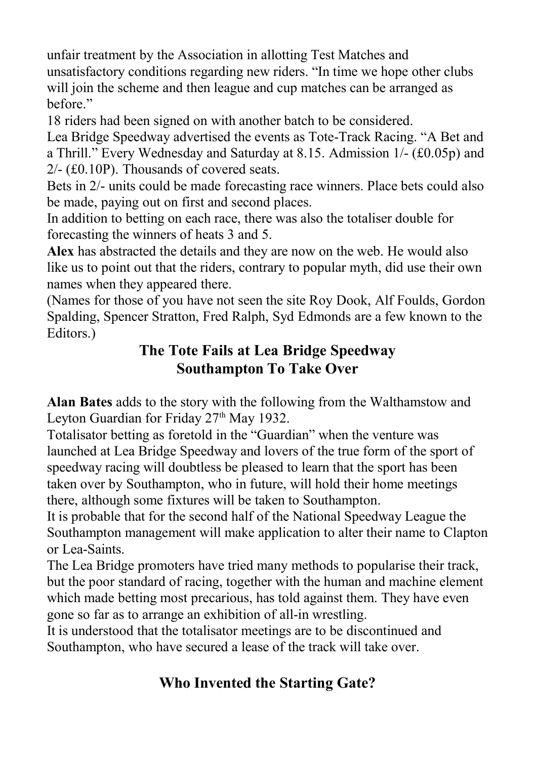unfair treatment by the Association in allotting Test Matches and unsatisfactory conditions regarding new riders. "In time we hope other clubs will join the scheme and then league and cup matches can be arranged as before."

18 riders had been signed on with another batch to be considered.

Lea Bridge Speedway advertised the events as Tote-Track Racing. "A Bet and a Thrill." Every Wednesday and Saturday at 8.15. Admission 1/- (£0.05p) and 2/- (£0.10P). Thousands of covered seats.

Bets in 2/- units could be made forecasting race winners. Place bets could also be made, paying out on first and second places.

In addition to betting on each race, there was also the totaliser double for forecasting the winners of heats 3 and 5.

**Alex** has abstracted the details and they are now on the web. He would also like us to point out that the riders, contrary to popular myth, did use their own names when they appeared there.

(Names for those of you have not seen the site Roy Dook, Alf Foulds, Gordon Spalding, Spencer Stratton, Fred Ralph, Syd Edmonds are a few known to the Editors.)

# **The Tote Fails at Lea Bridge Speedway Southampton To Take Over**

**Alan Bates** adds to the story with the following from the Walthamstow and Leyton Guardian for Friday 27<sup>th</sup> May 1932.

Totalisator betting as foretold in the "Guardian" when the venture was launched at Lea Bridge Speedway and lovers of the true form of the sport of speedway racing will doubtless be pleased to learn that the sport has been taken over by Southampton, who in future, will hold their home meetings there, although some fixtures will be taken to Southampton.

It is probable that for the second half of the National Speedway League the Southampton management will make application to alter their name to Clapton or Lea-Saints.

The Lea Bridge promoters have tried many methods to popularise their track, but the poor standard of racing, together with the human and machine element which made betting most precarious, has told against them. They have even gone so far as to arrange an exhibition of all-in wrestling.

It is understood that the totalisator meetings are to be discontinued and Southampton, who have secured a lease of the track will take over.

# **Who Invented the Starting Gate?**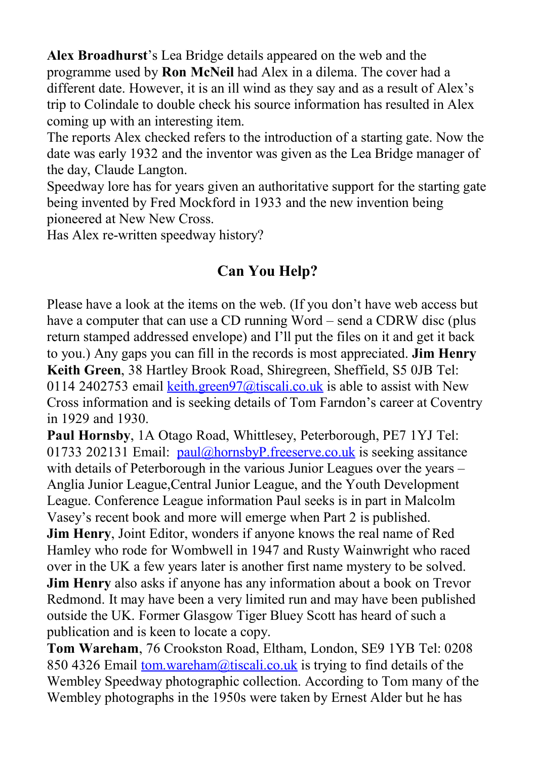**Alex Broadhurst**'s Lea Bridge details appeared on the web and the programme used by **Ron McNeil** had Alex in a dilema. The cover had a different date. However, it is an ill wind as they say and as a result of Alex's trip to Colindale to double check his source information has resulted in Alex coming up with an interesting item.

The reports Alex checked refers to the introduction of a starting gate. Now the date was early 1932 and the inventor was given as the Lea Bridge manager of the day, Claude Langton.

Speedway lore has for years given an authoritative support for the starting gate being invented by Fred Mockford in 1933 and the new invention being pioneered at New New Cross.

Has Alex re-written speedway history?

# **Can You Help?**

Please have a look at the items on the web. (If you don't have web access but have a computer that can use a CD running Word – send a CDRW disc (plus return stamped addressed envelope) and I'll put the files on it and get it back to you.) Any gaps you can fill in the records is most appreciated. **Jim Henry Keith Green**, 38 Hartley Brook Road, Shiregreen, Sheffield, S5 0JB Tel: 0114 2402753 email keith.green $97$ @tiscali.co.uk is able to assist with New Cross information and is seeking details of Tom Farndon's career at Coventry in 1929 and 1930.

**Paul Hornsby**, 1A Otago Road, Whittlesey, Peterborough, PE7 1YJ Tel: 01733 202131 Email:  $paul@hornsbyP$ . freeserve.co.uk is seeking assitance with details of Peterborough in the various Junior Leagues over the years – Anglia Junior League,Central Junior League, and the Youth Development League. Conference League information Paul seeks is in part in Malcolm Vasey's recent book and more will emerge when Part 2 is published. **Jim Henry**, Joint Editor, wonders if anyone knows the real name of Red Hamley who rode for Wombwell in 1947 and Rusty Wainwright who raced over in the UK a few years later is another first name mystery to be solved. **Jim Henry** also asks if anyone has any information about a book on Trevor Redmond. It may have been a very limited run and may have been published outside the UK. Former Glasgow Tiger Bluey Scott has heard of such a

publication and is keen to locate a copy.

**Tom Wareham**, 76 Crookston Road, Eltham, London, SE9 1YB Tel: 0208 850 4326 Email [tom.wareham@tiscali.co.uk](mailto:tom.waeham@tiscali.co.uk) is trying to find details of the Wembley Speedway photographic collection. According to Tom many of the Wembley photographs in the 1950s were taken by Ernest Alder but he has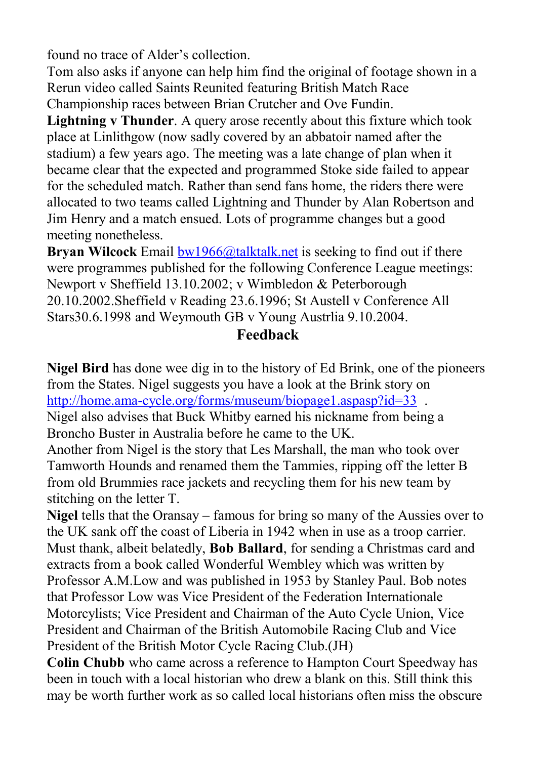found no trace of Alder's collection.

Tom also asks if anyone can help him find the original of footage shown in a Rerun video called Saints Reunited featuring British Match Race Championship races between Brian Crutcher and Ove Fundin.

**Lightning v Thunder**. A query arose recently about this fixture which took place at Linlithgow (now sadly covered by an abbatoir named after the stadium) a few years ago. The meeting was a late change of plan when it became clear that the expected and programmed Stoke side failed to appear for the scheduled match. Rather than send fans home, the riders there were allocated to two teams called Lightning and Thunder by Alan Robertson and Jim Henry and a match ensued. Lots of programme changes but a good meeting nonetheless.

**Bryan Wilcock** Email  $bw1966@$ talktalk, net is seeking to find out if there were programmes published for the following Conference League meetings: Newport v Sheffield 13.10.2002; v Wimbledon & Peterborough 20.10.2002.Sheffield v Reading 23.6.1996; St Austell v Conference All Stars30.6.1998 and Weymouth GB v Young Austrlia 9.10.2004.

### **Feedback**

**Nigel Bird** has done wee dig in to the history of Ed Brink, one of the pioneers from the States. Nigel suggests you have a look at the Brink story on http://home.ama-cycle.org/forms/museum/biopage1.aspasp?id=33. Nigel also advises that Buck Whitby earned his nickname from being a Broncho Buster in Australia before he came to the UK.

Another from Nigel is the story that Les Marshall, the man who took over Tamworth Hounds and renamed them the Tammies, ripping off the letter B from old Brummies race jackets and recycling them for his new team by stitching on the letter T.

**Nigel** tells that the Oransay – famous for bring so many of the Aussies over to the UK sank off the coast of Liberia in 1942 when in use as a troop carrier. Must thank, albeit belatedly, **Bob Ballard**, for sending a Christmas card and extracts from a book called Wonderful Wembley which was written by Professor A.M.Low and was published in 1953 by Stanley Paul. Bob notes that Professor Low was Vice President of the Federation Internationale Motorcylists; Vice President and Chairman of the Auto Cycle Union, Vice President and Chairman of the British Automobile Racing Club and Vice President of the British Motor Cycle Racing Club.(JH)

**Colin Chubb** who came across a reference to Hampton Court Speedway has been in touch with a local historian who drew a blank on this. Still think this may be worth further work as so called local historians often miss the obscure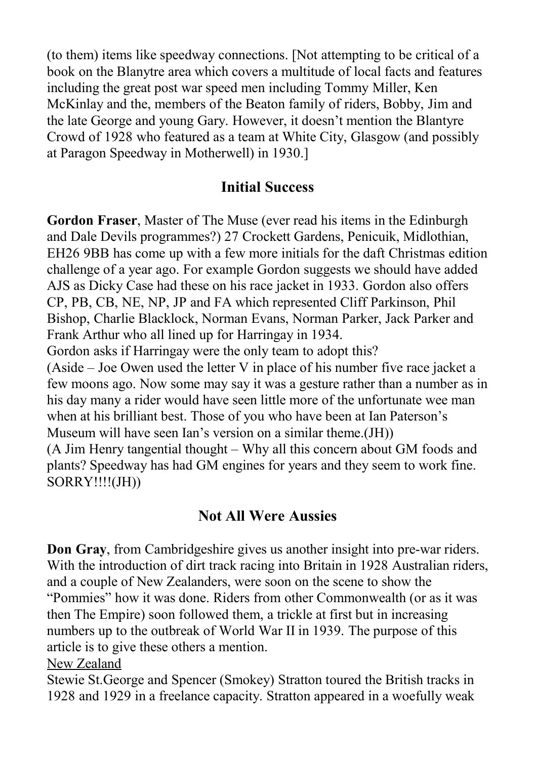(to them) items like speedway connections. [Not attempting to be critical of a book on the Blanytre area which covers a multitude of local facts and features including the great post war speed men including Tommy Miller, Ken McKinlay and the, members of the Beaton family of riders, Bobby, Jim and the late George and young Gary. However, it doesn't mention the Blantyre Crowd of 1928 who featured as a team at White City, Glasgow (and possibly at Paragon Speedway in Motherwell) in 1930.]

## **Initial Success**

**Gordon Fraser**, Master of The Muse (ever read his items in the Edinburgh and Dale Devils programmes?) 27 Crockett Gardens, Penicuik, Midlothian, EH26 9BB has come up with a few more initials for the daft Christmas edition challenge of a year ago. For example Gordon suggests we should have added AJS as Dicky Case had these on his race jacket in 1933. Gordon also offers CP, PB, CB, NE, NP, JP and FA which represented Cliff Parkinson, Phil Bishop, Charlie Blacklock, Norman Evans, Norman Parker, Jack Parker and Frank Arthur who all lined up for Harringay in 1934.

Gordon asks if Harringay were the only team to adopt this?

(Aside – Joe Owen used the letter V in place of his number five race jacket a few moons ago. Now some may say it was a gesture rather than a number as in his day many a rider would have seen little more of the unfortunate wee man when at his brilliant best. Those of you who have been at Ian Paterson's Museum will have seen Ian's version on a similar theme.(JH))

(A Jim Henry tangential thought – Why all this concern about GM foods and plants? Speedway has had GM engines for years and they seem to work fine. SORRY!!!!(JH))

## **Not All Were Aussies**

**Don Gray**, from Cambridgeshire gives us another insight into pre-war riders. With the introduction of dirt track racing into Britain in 1928 Australian riders, and a couple of New Zealanders, were soon on the scene to show the "Pommies" how it was done. Riders from other Commonwealth (or as it was then The Empire) soon followed them, a trickle at first but in increasing numbers up to the outbreak of World War II in 1939. The purpose of this article is to give these others a mention.

#### New Zealand

Stewie St.George and Spencer (Smokey) Stratton toured the British tracks in 1928 and 1929 in a freelance capacity. Stratton appeared in a woefully weak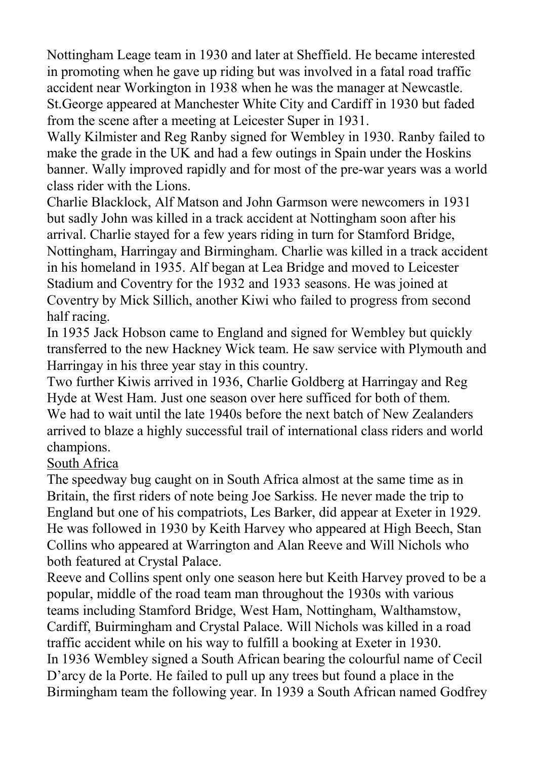Nottingham Leage team in 1930 and later at Sheffield. He became interested in promoting when he gave up riding but was involved in a fatal road traffic accident near Workington in 1938 when he was the manager at Newcastle. St.George appeared at Manchester White City and Cardiff in 1930 but faded from the scene after a meeting at Leicester Super in 1931.

Wally Kilmister and Reg Ranby signed for Wembley in 1930. Ranby failed to make the grade in the UK and had a few outings in Spain under the Hoskins banner. Wally improved rapidly and for most of the pre-war years was a world class rider with the Lions.

Charlie Blacklock, Alf Matson and John Garmson were newcomers in 1931 but sadly John was killed in a track accident at Nottingham soon after his arrival. Charlie stayed for a few years riding in turn for Stamford Bridge, Nottingham, Harringay and Birmingham. Charlie was killed in a track accident in his homeland in 1935. Alf began at Lea Bridge and moved to Leicester Stadium and Coventry for the 1932 and 1933 seasons. He was joined at Coventry by Mick Sillich, another Kiwi who failed to progress from second half racing.

In 1935 Jack Hobson came to England and signed for Wembley but quickly transferred to the new Hackney Wick team. He saw service with Plymouth and Harringay in his three year stay in this country.

Two further Kiwis arrived in 1936, Charlie Goldberg at Harringay and Reg Hyde at West Ham. Just one season over here sufficed for both of them. We had to wait until the late 1940s before the next batch of New Zealanders arrived to blaze a highly successful trail of international class riders and world champions.

#### South Africa

The speedway bug caught on in South Africa almost at the same time as in Britain, the first riders of note being Joe Sarkiss. He never made the trip to England but one of his compatriots, Les Barker, did appear at Exeter in 1929. He was followed in 1930 by Keith Harvey who appeared at High Beech, Stan Collins who appeared at Warrington and Alan Reeve and Will Nichols who both featured at Crystal Palace.

Reeve and Collins spent only one season here but Keith Harvey proved to be a popular, middle of the road team man throughout the 1930s with various teams including Stamford Bridge, West Ham, Nottingham, Walthamstow, Cardiff, Buirmingham and Crystal Palace. Will Nichols was killed in a road traffic accident while on his way to fulfill a booking at Exeter in 1930. In 1936 Wembley signed a South African bearing the colourful name of Cecil D'arcy de la Porte. He failed to pull up any trees but found a place in the Birmingham team the following year. In 1939 a South African named Godfrey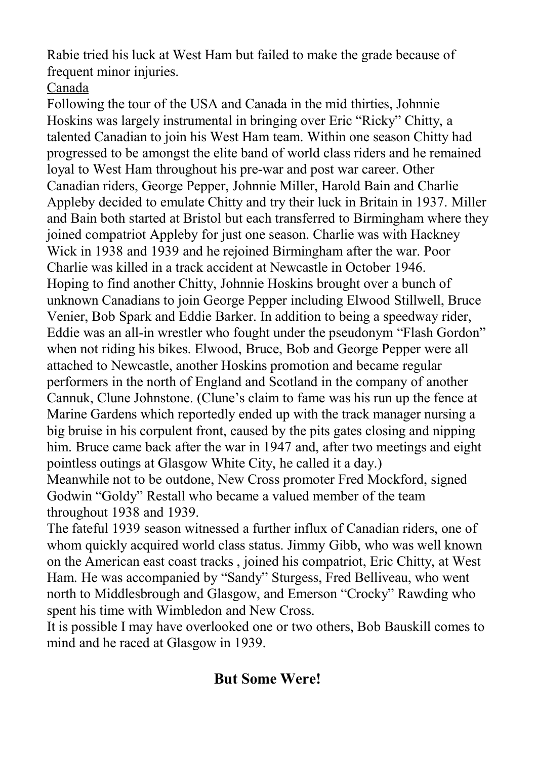Rabie tried his luck at West Ham but failed to make the grade because of frequent minor injuries.

### Canada

Following the tour of the USA and Canada in the mid thirties, Johnnie Hoskins was largely instrumental in bringing over Eric "Ricky" Chitty, a talented Canadian to join his West Ham team. Within one season Chitty had progressed to be amongst the elite band of world class riders and he remained loyal to West Ham throughout his pre-war and post war career. Other Canadian riders, George Pepper, Johnnie Miller, Harold Bain and Charlie Appleby decided to emulate Chitty and try their luck in Britain in 1937. Miller and Bain both started at Bristol but each transferred to Birmingham where they joined compatriot Appleby for just one season. Charlie was with Hackney Wick in 1938 and 1939 and he rejoined Birmingham after the war. Poor Charlie was killed in a track accident at Newcastle in October 1946. Hoping to find another Chitty, Johnnie Hoskins brought over a bunch of unknown Canadians to join George Pepper including Elwood Stillwell, Bruce Venier, Bob Spark and Eddie Barker. In addition to being a speedway rider, Eddie was an all-in wrestler who fought under the pseudonym "Flash Gordon" when not riding his bikes. Elwood, Bruce, Bob and George Pepper were all attached to Newcastle, another Hoskins promotion and became regular performers in the north of England and Scotland in the company of another Cannuk, Clune Johnstone. (Clune's claim to fame was his run up the fence at Marine Gardens which reportedly ended up with the track manager nursing a big bruise in his corpulent front, caused by the pits gates closing and nipping him. Bruce came back after the war in 1947 and, after two meetings and eight pointless outings at Glasgow White City, he called it a day.) Meanwhile not to be outdone, New Cross promoter Fred Mockford, signed Godwin "Goldy" Restall who became a valued member of the team throughout 1938 and 1939.

The fateful 1939 season witnessed a further influx of Canadian riders, one of whom quickly acquired world class status. Jimmy Gibb, who was well known on the American east coast tracks , joined his compatriot, Eric Chitty, at West Ham. He was accompanied by "Sandy" Sturgess, Fred Belliveau, who went north to Middlesbrough and Glasgow, and Emerson "Crocky" Rawding who spent his time with Wimbledon and New Cross.

It is possible I may have overlooked one or two others, Bob Bauskill comes to mind and he raced at Glasgow in 1939.

### **But Some Were!**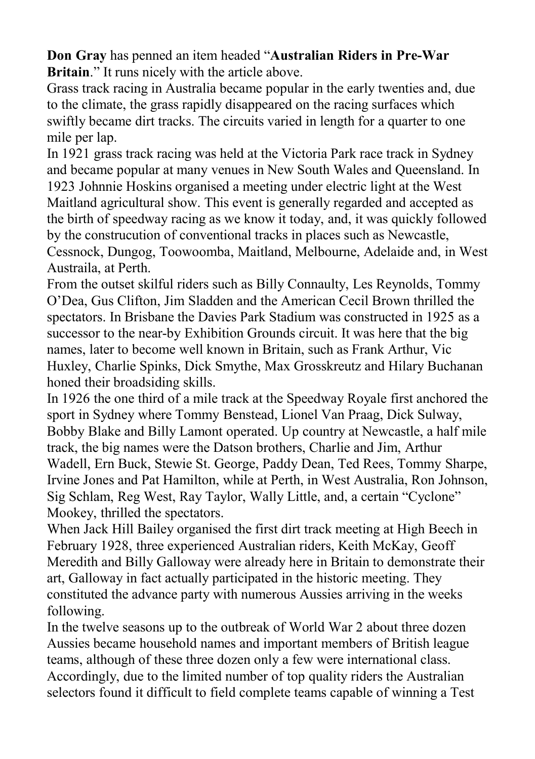**Don Gray** has penned an item headed "**Australian Riders in Pre-War Britain**." It runs nicely with the article above.

Grass track racing in Australia became popular in the early twenties and, due to the climate, the grass rapidly disappeared on the racing surfaces which swiftly became dirt tracks. The circuits varied in length for a quarter to one mile per lap.

In 1921 grass track racing was held at the Victoria Park race track in Sydney and became popular at many venues in New South Wales and Queensland. In 1923 Johnnie Hoskins organised a meeting under electric light at the West Maitland agricultural show. This event is generally regarded and accepted as the birth of speedway racing as we know it today, and, it was quickly followed by the construcution of conventional tracks in places such as Newcastle, Cessnock, Dungog, Toowoomba, Maitland, Melbourne, Adelaide and, in West Austraila, at Perth.

From the outset skilful riders such as Billy Connaulty, Les Reynolds, Tommy O'Dea, Gus Clifton, Jim Sladden and the American Cecil Brown thrilled the spectators. In Brisbane the Davies Park Stadium was constructed in 1925 as a successor to the near-by Exhibition Grounds circuit. It was here that the big names, later to become well known in Britain, such as Frank Arthur, Vic Huxley, Charlie Spinks, Dick Smythe, Max Grosskreutz and Hilary Buchanan honed their broadsiding skills.

In 1926 the one third of a mile track at the Speedway Royale first anchored the sport in Sydney where Tommy Benstead, Lionel Van Praag, Dick Sulway, Bobby Blake and Billy Lamont operated. Up country at Newcastle, a half mile track, the big names were the Datson brothers, Charlie and Jim, Arthur Wadell, Ern Buck, Stewie St. George, Paddy Dean, Ted Rees, Tommy Sharpe, Irvine Jones and Pat Hamilton, while at Perth, in West Australia, Ron Johnson, Sig Schlam, Reg West, Ray Taylor, Wally Little, and, a certain "Cyclone" Mookey, thrilled the spectators.

When Jack Hill Bailey organised the first dirt track meeting at High Beech in February 1928, three experienced Australian riders, Keith McKay, Geoff Meredith and Billy Galloway were already here in Britain to demonstrate their art, Galloway in fact actually participated in the historic meeting. They constituted the advance party with numerous Aussies arriving in the weeks following.

In the twelve seasons up to the outbreak of World War 2 about three dozen Aussies became household names and important members of British league teams, although of these three dozen only a few were international class. Accordingly, due to the limited number of top quality riders the Australian selectors found it difficult to field complete teams capable of winning a Test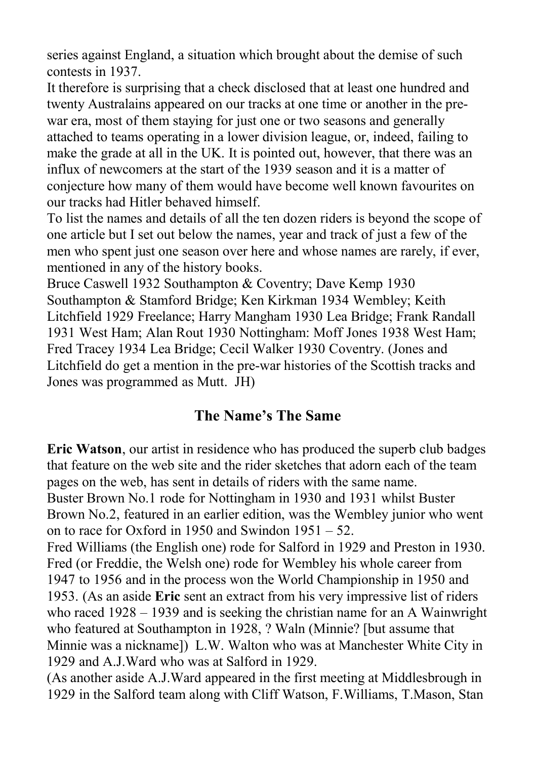series against England, a situation which brought about the demise of such contests in 1937.

It therefore is surprising that a check disclosed that at least one hundred and twenty Australains appeared on our tracks at one time or another in the prewar era, most of them staying for just one or two seasons and generally attached to teams operating in a lower division league, or, indeed, failing to make the grade at all in the UK. It is pointed out, however, that there was an influx of newcomers at the start of the 1939 season and it is a matter of conjecture how many of them would have become well known favourites on our tracks had Hitler behaved himself.

To list the names and details of all the ten dozen riders is beyond the scope of one article but I set out below the names, year and track of just a few of the men who spent just one season over here and whose names are rarely, if ever, mentioned in any of the history books.

Bruce Caswell 1932 Southampton & Coventry; Dave Kemp 1930 Southampton & Stamford Bridge; Ken Kirkman 1934 Wembley; Keith Litchfield 1929 Freelance; Harry Mangham 1930 Lea Bridge; Frank Randall 1931 West Ham; Alan Rout 1930 Nottingham: Moff Jones 1938 West Ham; Fred Tracey 1934 Lea Bridge; Cecil Walker 1930 Coventry. (Jones and Litchfield do get a mention in the pre-war histories of the Scottish tracks and Jones was programmed as Mutt. JH)

### **The Name's The Same**

**Eric Watson**, our artist in residence who has produced the superb club badges that feature on the web site and the rider sketches that adorn each of the team pages on the web, has sent in details of riders with the same name. Buster Brown No.1 rode for Nottingham in 1930 and 1931 whilst Buster Brown No.2, featured in an earlier edition, was the Wembley junior who went on to race for Oxford in 1950 and Swindon 1951 – 52.

Fred Williams (the English one) rode for Salford in 1929 and Preston in 1930. Fred (or Freddie, the Welsh one) rode for Wembley his whole career from 1947 to 1956 and in the process won the World Championship in 1950 and 1953. (As an aside **Eric** sent an extract from his very impressive list of riders who raced 1928 – 1939 and is seeking the christian name for an A Wainwright who featured at Southampton in 1928, ? Waln (Minnie? [but assume that Minnie was a nickname]) L.W. Walton who was at Manchester White City in 1929 and A.J.Ward who was at Salford in 1929.

(As another aside A.J.Ward appeared in the first meeting at Middlesbrough in 1929 in the Salford team along with Cliff Watson, F.Williams, T.Mason, Stan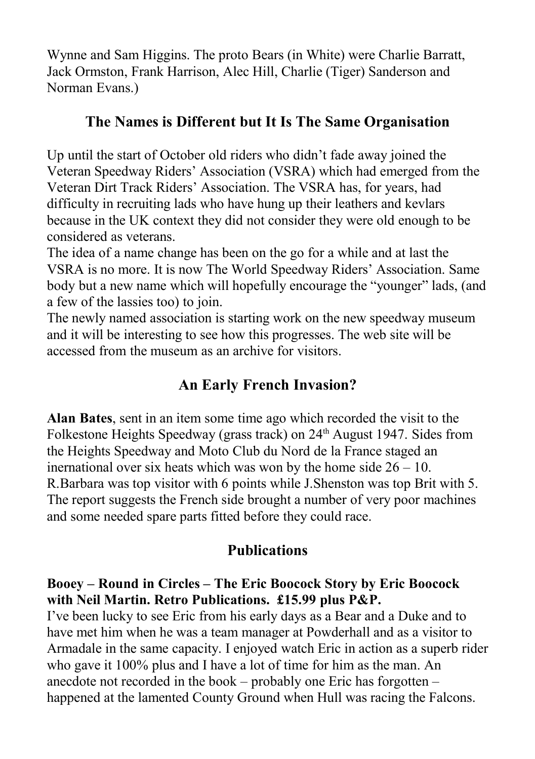Wynne and Sam Higgins. The proto Bears (in White) were Charlie Barratt, Jack Ormston, Frank Harrison, Alec Hill, Charlie (Tiger) Sanderson and Norman Evans.)

# **The Names is Different but It Is The Same Organisation**

Up until the start of October old riders who didn't fade away joined the Veteran Speedway Riders' Association (VSRA) which had emerged from the Veteran Dirt Track Riders' Association. The VSRA has, for years, had difficulty in recruiting lads who have hung up their leathers and kevlars because in the UK context they did not consider they were old enough to be considered as veterans.

The idea of a name change has been on the go for a while and at last the VSRA is no more. It is now The World Speedway Riders' Association. Same body but a new name which will hopefully encourage the "younger" lads, (and a few of the lassies too) to join.

The newly named association is starting work on the new speedway museum and it will be interesting to see how this progresses. The web site will be accessed from the museum as an archive for visitors.

# **An Early French Invasion?**

**Alan Bates**, sent in an item some time ago which recorded the visit to the Folkestone Heights Speedway (grass track) on 24<sup>th</sup> August 1947. Sides from the Heights Speedway and Moto Club du Nord de la France staged an inernational over six heats which was won by the home side  $26 - 10$ . R.Barbara was top visitor with 6 points while J.Shenston was top Brit with 5. The report suggests the French side brought a number of very poor machines and some needed spare parts fitted before they could race.

# **Publications**

#### **Booey – Round in Circles – The Eric Boocock Story by Eric Boocock with Neil Martin. Retro Publications. £15.99 plus P&P.**

I've been lucky to see Eric from his early days as a Bear and a Duke and to have met him when he was a team manager at Powderhall and as a visitor to Armadale in the same capacity. I enjoyed watch Eric in action as a superb rider who gave it 100% plus and I have a lot of time for him as the man. An anecdote not recorded in the book – probably one Eric has forgotten – happened at the lamented County Ground when Hull was racing the Falcons.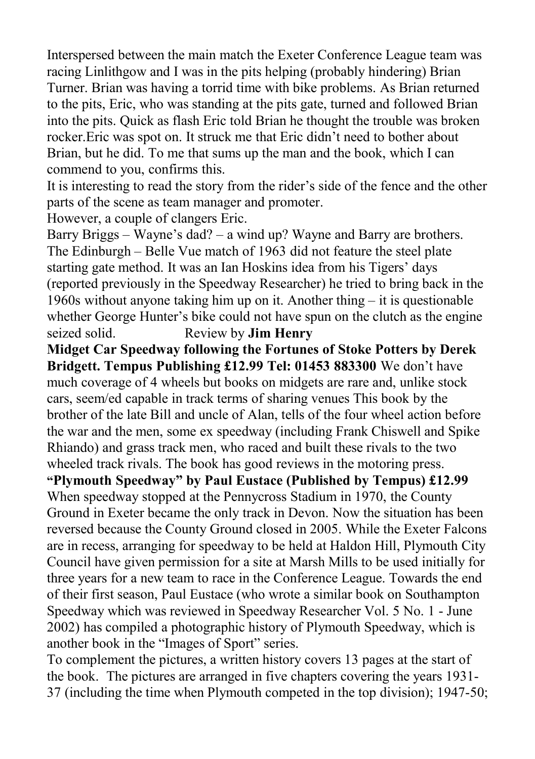Interspersed between the main match the Exeter Conference League team was racing Linlithgow and I was in the pits helping (probably hindering) Brian Turner. Brian was having a torrid time with bike problems. As Brian returned to the pits, Eric, who was standing at the pits gate, turned and followed Brian into the pits. Quick as flash Eric told Brian he thought the trouble was broken rocker.Eric was spot on. It struck me that Eric didn't need to bother about Brian, but he did. To me that sums up the man and the book, which I can commend to you, confirms this.

It is interesting to read the story from the rider's side of the fence and the other parts of the scene as team manager and promoter.

However, a couple of clangers Eric.

Barry Briggs – Wayne's dad? – a wind up? Wayne and Barry are brothers. The Edinburgh – Belle Vue match of 1963 did not feature the steel plate starting gate method. It was an Ian Hoskins idea from his Tigers' days (reported previously in the Speedway Researcher) he tried to bring back in the 1960s without anyone taking him up on it. Another thing – it is questionable whether George Hunter's bike could not have spun on the clutch as the engine seized solid. Review by **Jim Henry**

**Midget Car Speedway following the Fortunes of Stoke Potters by Derek Bridgett. Tempus Publishing £12.99 Tel: 01453 883300** We don't have much coverage of 4 wheels but books on midgets are rare and, unlike stock cars, seem/ed capable in track terms of sharing venues This book by the brother of the late Bill and uncle of Alan, tells of the four wheel action before the war and the men, some ex speedway (including Frank Chiswell and Spike Rhiando) and grass track men, who raced and built these rivals to the two wheeled track rivals. The book has good reviews in the motoring press.

**"Plymouth Speedway" by Paul Eustace (Published by Tempus) £12.99**  When speedway stopped at the Pennycross Stadium in 1970, the County Ground in Exeter became the only track in Devon. Now the situation has been reversed because the County Ground closed in 2005. While the Exeter Falcons are in recess, arranging for speedway to be held at Haldon Hill, Plymouth City Council have given permission for a site at Marsh Mills to be used initially for three years for a new team to race in the Conference League. Towards the end of their first season, Paul Eustace (who wrote a similar book on Southampton Speedway which was reviewed in Speedway Researcher Vol. 5 No. 1 - June 2002) has compiled a photographic history of Plymouth Speedway, which is another book in the "Images of Sport" series.

To complement the pictures, a written history covers 13 pages at the start of the book. The pictures are arranged in five chapters covering the years 1931- 37 (including the time when Plymouth competed in the top division); 1947-50;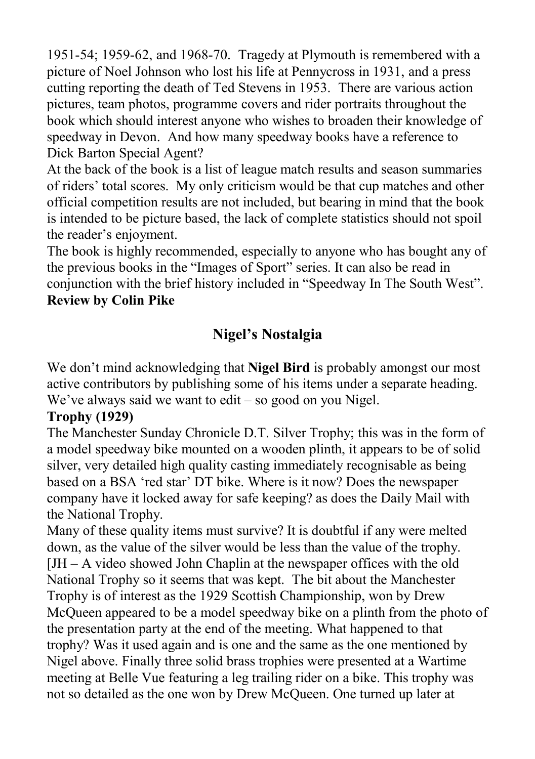1951-54; 1959-62, and 1968-70. Tragedy at Plymouth is remembered with a picture of Noel Johnson who lost his life at Pennycross in 1931, and a press cutting reporting the death of Ted Stevens in 1953. There are various action pictures, team photos, programme covers and rider portraits throughout the book which should interest anyone who wishes to broaden their knowledge of speedway in Devon. And how many speedway books have a reference to Dick Barton Special Agent?

At the back of the book is a list of league match results and season summaries of riders' total scores. My only criticism would be that cup matches and other official competition results are not included, but bearing in mind that the book is intended to be picture based, the lack of complete statistics should not spoil the reader's enjoyment.

The book is highly recommended, especially to anyone who has bought any of the previous books in the "Images of Sport" series. It can also be read in conjunction with the brief history included in "Speedway In The South West". **Review by Colin Pike**

# **Nigel's Nostalgia**

We don't mind acknowledging that **Nigel Bird** is probably amongst our most active contributors by publishing some of his items under a separate heading. We've always said we want to edit – so good on you Nigel.

#### **Trophy (1929)**

The Manchester Sunday Chronicle D.T. Silver Trophy; this was in the form of a model speedway bike mounted on a wooden plinth, it appears to be of solid silver, very detailed high quality casting immediately recognisable as being based on a BSA 'red star' DT bike. Where is it now? Does the newspaper company have it locked away for safe keeping? as does the Daily Mail with the National Trophy.

Many of these quality items must survive? It is doubtful if any were melted down, as the value of the silver would be less than the value of the trophy. [JH – A video showed John Chaplin at the newspaper offices with the old National Trophy so it seems that was kept. The bit about the Manchester Trophy is of interest as the 1929 Scottish Championship, won by Drew McQueen appeared to be a model speedway bike on a plinth from the photo of the presentation party at the end of the meeting. What happened to that trophy? Was it used again and is one and the same as the one mentioned by Nigel above. Finally three solid brass trophies were presented at a Wartime meeting at Belle Vue featuring a leg trailing rider on a bike. This trophy was not so detailed as the one won by Drew McQueen. One turned up later at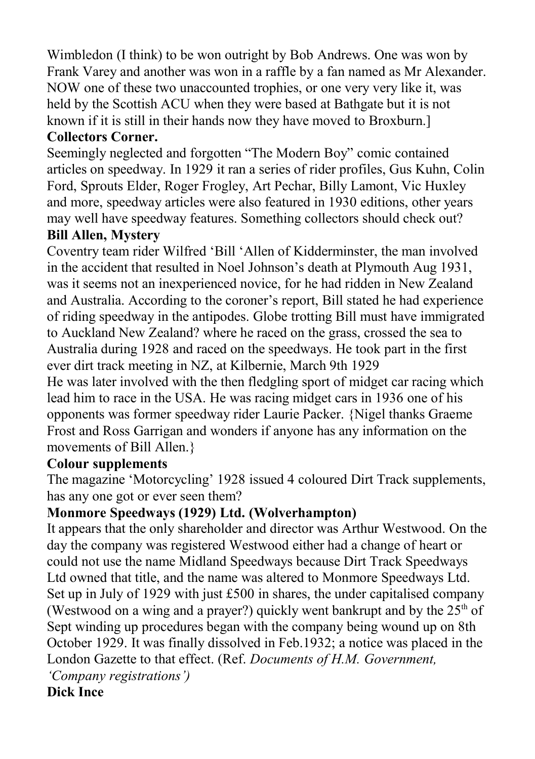Wimbledon (I think) to be won outright by Bob Andrews. One was won by Frank Varey and another was won in a raffle by a fan named as Mr Alexander. NOW one of these two unaccounted trophies, or one very very like it, was held by the Scottish ACU when they were based at Bathgate but it is not known if it is still in their hands now they have moved to Broxburn.]

## **Collectors Corner.**

Seemingly neglected and forgotten "The Modern Boy" comic contained articles on speedway. In 1929 it ran a series of rider profiles, Gus Kuhn, Colin Ford, Sprouts Elder, Roger Frogley, Art Pechar, Billy Lamont, Vic Huxley and more, speedway articles were also featured in 1930 editions, other years may well have speedway features. Something collectors should check out?

#### **Bill Allen, Mystery**

Coventry team rider Wilfred 'Bill 'Allen of Kidderminster, the man involved in the accident that resulted in Noel Johnson's death at Plymouth Aug 1931, was it seems not an inexperienced novice, for he had ridden in New Zealand and Australia. According to the coroner's report, Bill stated he had experience of riding speedway in the antipodes. Globe trotting Bill must have immigrated to Auckland New Zealand? where he raced on the grass, crossed the sea to Australia during 1928 and raced on the speedways. He took part in the first ever dirt track meeting in NZ, at Kilbernie, March 9th 1929

He was later involved with the then fledgling sport of midget car racing which lead him to race in the USA. He was racing midget cars in 1936 one of his opponents was former speedway rider Laurie Packer. {Nigel thanks Graeme Frost and Ross Garrigan and wonders if anyone has any information on the movements of Bill Allen.}

#### **Colour supplements**

The magazine 'Motorcycling' 1928 issued 4 coloured Dirt Track supplements, has any one got or ever seen them?

### **Monmore Speedways (1929) Ltd. (Wolverhampton)**

It appears that the only shareholder and director was Arthur Westwood. On the day the company was registered Westwood either had a change of heart or could not use the name Midland Speedways because Dirt Track Speedways Ltd owned that title, and the name was altered to Monmore Speedways Ltd. Set up in July of 1929 with just £500 in shares, the under capitalised company (Westwood on a wing and a prayer?) quickly went bankrupt and by the  $25<sup>th</sup>$  of Sept winding up procedures began with the company being wound up on 8th October 1929. It was finally dissolved in Feb.1932; a notice was placed in the London Gazette to that effect. (Ref. *Documents of H.M. Government,*

*'Company registrations')*

**Dick Ince**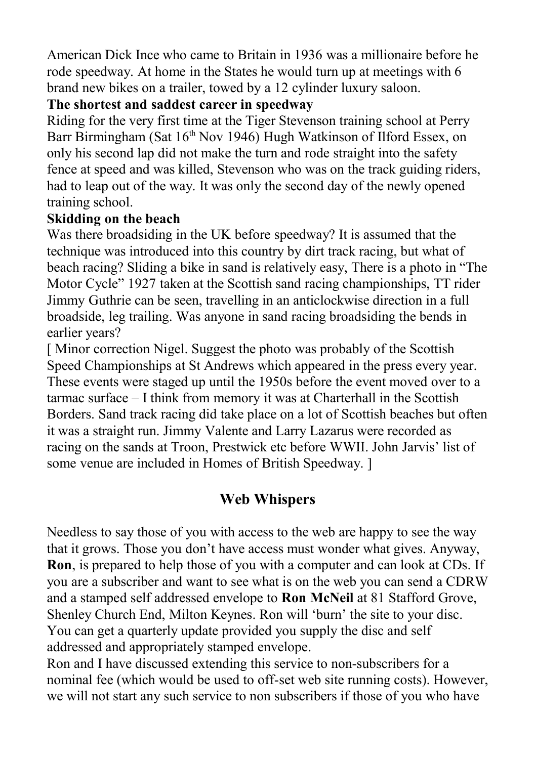American Dick Ince who came to Britain in 1936 was a millionaire before he rode speedway. At home in the States he would turn up at meetings with 6 brand new bikes on a trailer, towed by a 12 cylinder luxury saloon.

#### **The shortest and saddest career in speedway**

Riding for the very first time at the Tiger Stevenson training school at Perry Barr Birmingham (Sat 16<sup>th</sup> Nov 1946) Hugh Watkinson of Ilford Essex, on only his second lap did not make the turn and rode straight into the safety fence at speed and was killed, Stevenson who was on the track guiding riders, had to leap out of the way. It was only the second day of the newly opened training school.

### **Skidding on the beach**

Was there broadsiding in the UK before speedway? It is assumed that the technique was introduced into this country by dirt track racing, but what of beach racing? Sliding a bike in sand is relatively easy, There is a photo in "The Motor Cycle" 1927 taken at the Scottish sand racing championships, TT rider Jimmy Guthrie can be seen, travelling in an anticlockwise direction in a full broadside, leg trailing. Was anyone in sand racing broadsiding the bends in earlier years?

[ Minor correction Nigel. Suggest the photo was probably of the Scottish Speed Championships at St Andrews which appeared in the press every year. These events were staged up until the 1950s before the event moved over to a tarmac surface – I think from memory it was at Charterhall in the Scottish Borders. Sand track racing did take place on a lot of Scottish beaches but often it was a straight run. Jimmy Valente and Larry Lazarus were recorded as racing on the sands at Troon, Prestwick etc before WWII. John Jarvis' list of some venue are included in Homes of British Speedway. ]

### **Web Whispers**

Needless to say those of you with access to the web are happy to see the way that it grows. Those you don't have access must wonder what gives. Anyway, **Ron**, is prepared to help those of you with a computer and can look at CDs. If you are a subscriber and want to see what is on the web you can send a CDRW and a stamped self addressed envelope to **Ron McNeil** at 81 Stafford Grove, Shenley Church End, Milton Keynes. Ron will 'burn' the site to your disc. You can get a quarterly update provided you supply the disc and self addressed and appropriately stamped envelope.

Ron and I have discussed extending this service to non-subscribers for a nominal fee (which would be used to off-set web site running costs). However, we will not start any such service to non subscribers if those of you who have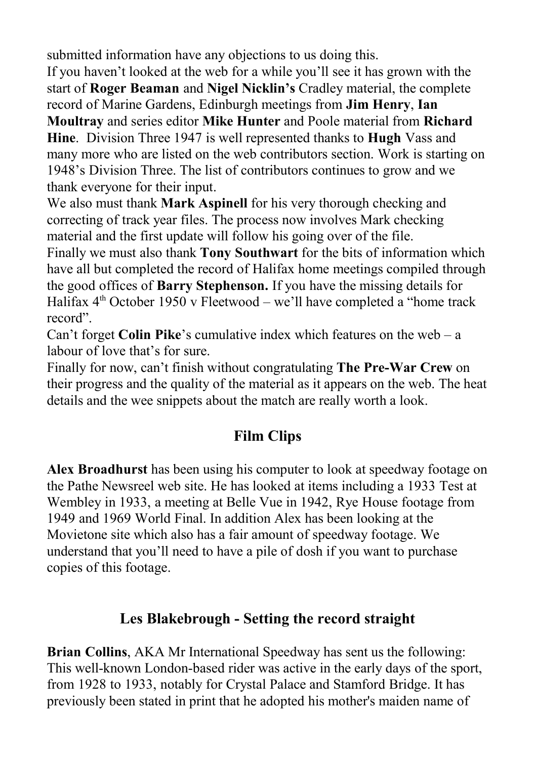submitted information have any objections to us doing this.

If you haven't looked at the web for a while you'll see it has grown with the start of **Roger Beaman** and **Nigel Nicklin's** Cradley material, the complete record of Marine Gardens, Edinburgh meetings from **Jim Henry**, **Ian Moultray** and series editor **Mike Hunter** and Poole material from **Richard Hine**. Division Three 1947 is well represented thanks to **Hugh** Vass and many more who are listed on the web contributors section. Work is starting on 1948's Division Three. The list of contributors continues to grow and we

thank everyone for their input.

We also must thank **Mark Aspinell** for his very thorough checking and correcting of track year files. The process now involves Mark checking material and the first update will follow his going over of the file.

Finally we must also thank **Tony Southwart** for the bits of information which have all but completed the record of Halifax home meetings compiled through the good offices of **Barry Stephenson.** If you have the missing details for Halifax  $4<sup>th</sup>$  October 1950 v Fleetwood – we'll have completed a "home track record".

Can't forget **Colin Pike**'s cumulative index which features on the web – a labour of love that's for sure.

Finally for now, can't finish without congratulating **The Pre-War Crew** on their progress and the quality of the material as it appears on the web. The heat details and the wee snippets about the match are really worth a look.

# **Film Clips**

**Alex Broadhurst** has been using his computer to look at speedway footage on the Pathe Newsreel web site. He has looked at items including a 1933 Test at Wembley in 1933, a meeting at Belle Vue in 1942, Rye House footage from 1949 and 1969 World Final. In addition Alex has been looking at the Movietone site which also has a fair amount of speedway footage. We understand that you'll need to have a pile of dosh if you want to purchase copies of this footage.

## **Les Blakebrough - Setting the record straight**

**Brian Collins**, AKA Mr International Speedway has sent us the following: This well-known London-based rider was active in the early days of the sport, from 1928 to 1933, notably for Crystal Palace and Stamford Bridge. It has previously been stated in print that he adopted his mother's maiden name of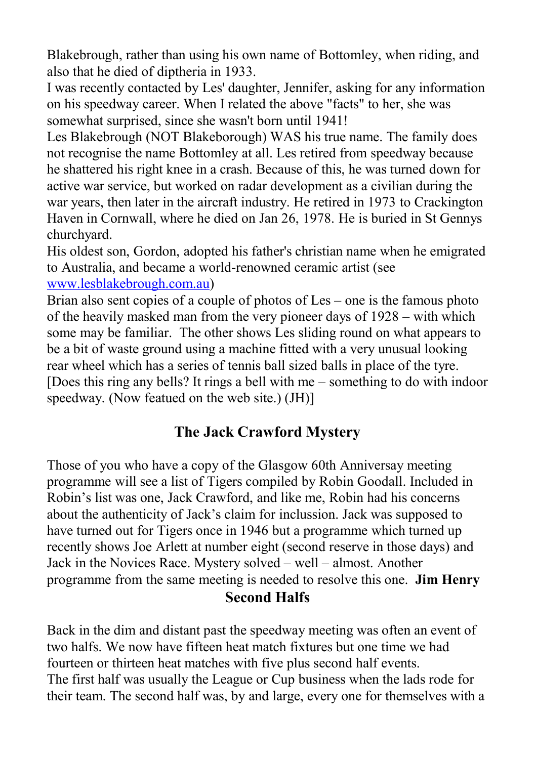Blakebrough, rather than using his own name of Bottomley, when riding, and also that he died of diptheria in 1933.

I was recently contacted by Les' daughter, Jennifer, asking for any information on his speedway career. When I related the above "facts" to her, she was somewhat surprised, since she wasn't born until 1941!

Les Blakebrough (NOT Blakeborough) WAS his true name. The family does not recognise the name Bottomley at all. Les retired from speedway because he shattered his right knee in a crash. Because of this, he was turned down for active war service, but worked on radar development as a civilian during the war years, then later in the aircraft industry. He retired in 1973 to Crackington Haven in Cornwall, where he died on Jan 26, 1978. He is buried in St Gennys churchyard.

His oldest son, Gordon, adopted his father's christian name when he emigrated to Australia, and became a world-renowned ceramic artist (see [www.lesblakebrough.com.au\)](http://www.lesblakebrough.com.au/)

Brian also sent copies of a couple of photos of Les – one is the famous photo of the heavily masked man from the very pioneer days of 1928 – with which some may be familiar. The other shows Les sliding round on what appears to be a bit of waste ground using a machine fitted with a very unusual looking rear wheel which has a series of tennis ball sized balls in place of the tyre. [Does this ring any bells? It rings a bell with me – something to do with indoor speedway. (Now featued on the web site.) (JH)]

# **The Jack Crawford Mystery**

Those of you who have a copy of the Glasgow 60th Anniversay meeting programme will see a list of Tigers compiled by Robin Goodall. Included in Robin's list was one, Jack Crawford, and like me, Robin had his concerns about the authenticity of Jack's claim for inclussion. Jack was supposed to have turned out for Tigers once in 1946 but a programme which turned up recently shows Joe Arlett at number eight (second reserve in those days) and Jack in the Novices Race. Mystery solved – well – almost. Another programme from the same meeting is needed to resolve this one. **Jim Henry Second Halfs**

Back in the dim and distant past the speedway meeting was often an event of two halfs. We now have fifteen heat match fixtures but one time we had fourteen or thirteen heat matches with five plus second half events. The first half was usually the League or Cup business when the lads rode for their team. The second half was, by and large, every one for themselves with a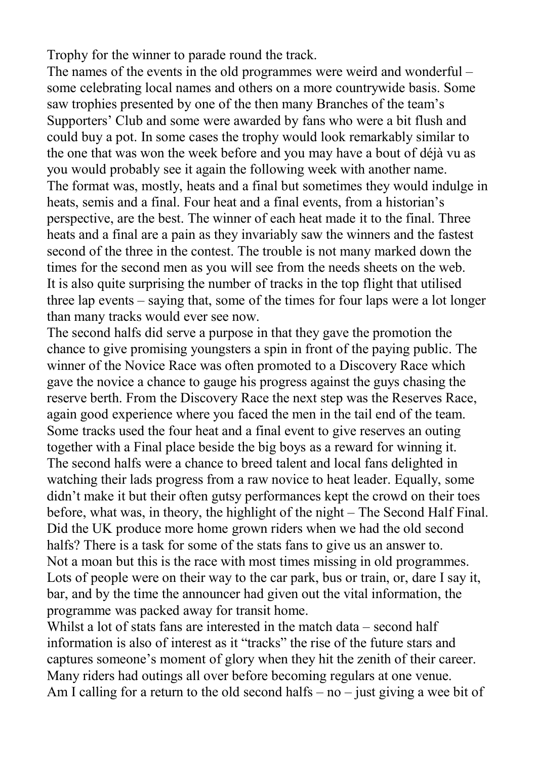Trophy for the winner to parade round the track.

The names of the events in the old programmes were weird and wonderful – some celebrating local names and others on a more countrywide basis. Some saw trophies presented by one of the then many Branches of the team's Supporters' Club and some were awarded by fans who were a bit flush and could buy a pot. In some cases the trophy would look remarkably similar to the one that was won the week before and you may have a bout of déjà vu as you would probably see it again the following week with another name. The format was, mostly, heats and a final but sometimes they would indulge in heats, semis and a final. Four heat and a final events, from a historian's perspective, are the best. The winner of each heat made it to the final. Three heats and a final are a pain as they invariably saw the winners and the fastest second of the three in the contest. The trouble is not many marked down the times for the second men as you will see from the needs sheets on the web. It is also quite surprising the number of tracks in the top flight that utilised three lap events – saying that, some of the times for four laps were a lot longer than many tracks would ever see now.

The second halfs did serve a purpose in that they gave the promotion the chance to give promising youngsters a spin in front of the paying public. The winner of the Novice Race was often promoted to a Discovery Race which gave the novice a chance to gauge his progress against the guys chasing the reserve berth. From the Discovery Race the next step was the Reserves Race, again good experience where you faced the men in the tail end of the team. Some tracks used the four heat and a final event to give reserves an outing together with a Final place beside the big boys as a reward for winning it. The second halfs were a chance to breed talent and local fans delighted in watching their lads progress from a raw novice to heat leader. Equally, some didn't make it but their often gutsy performances kept the crowd on their toes before, what was, in theory, the highlight of the night – The Second Half Final. Did the UK produce more home grown riders when we had the old second halfs? There is a task for some of the stats fans to give us an answer to. Not a moan but this is the race with most times missing in old programmes. Lots of people were on their way to the car park, bus or train, or, dare I say it, bar, and by the time the announcer had given out the vital information, the programme was packed away for transit home.

Whilst a lot of stats fans are interested in the match data – second half information is also of interest as it "tracks" the rise of the future stars and captures someone's moment of glory when they hit the zenith of their career. Many riders had outings all over before becoming regulars at one venue. Am I calling for a return to the old second halfs – no – just giving a wee bit of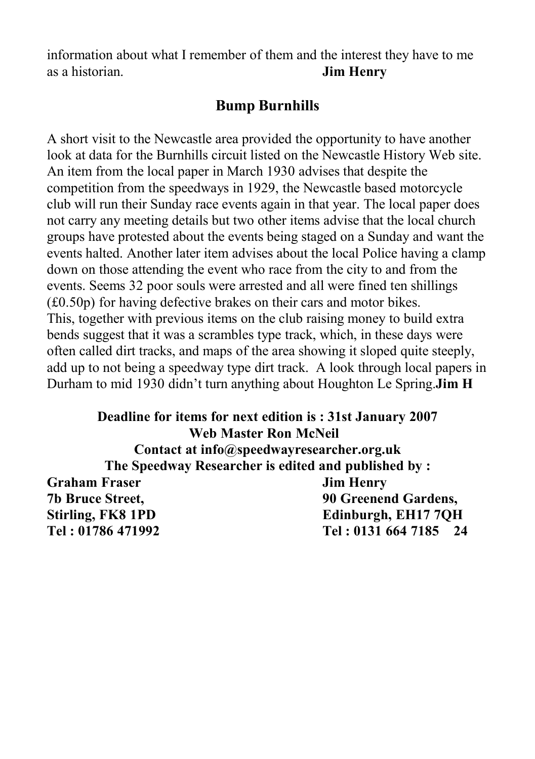information about what I remember of them and the interest they have to me as a historian. **Jim Henry**

### **Bump Burnhills**

A short visit to the Newcastle area provided the opportunity to have another look at data for the Burnhills circuit listed on the Newcastle History Web site. An item from the local paper in March 1930 advises that despite the competition from the speedways in 1929, the Newcastle based motorcycle club will run their Sunday race events again in that year. The local paper does not carry any meeting details but two other items advise that the local church groups have protested about the events being staged on a Sunday and want the events halted. Another later item advises about the local Police having a clamp down on those attending the event who race from the city to and from the events. Seems 32 poor souls were arrested and all were fined ten shillings (£0.50p) for having defective brakes on their cars and motor bikes. This, together with previous items on the club raising money to build extra bends suggest that it was a scrambles type track, which, in these days were often called dirt tracks, and maps of the area showing it sloped quite steeply, add up to not being a speedway type dirt track. A look through local papers in Durham to mid 1930 didn't turn anything about Houghton Le Spring.**Jim H**

**Deadline for items for next edition is : 31st January 2007 Web Master Ron McNeil Contact at info@speedwayresearcher.org.uk The Speedway Researcher is edited and published by : Graham Fraser Jim Henry 7b Bruce Street, 90 Greenend Gardens, Stirling, FK8 1PD Edinburgh, EH17 7QH Tel : 01786 471992 Tel : 0131 664 7185 24**